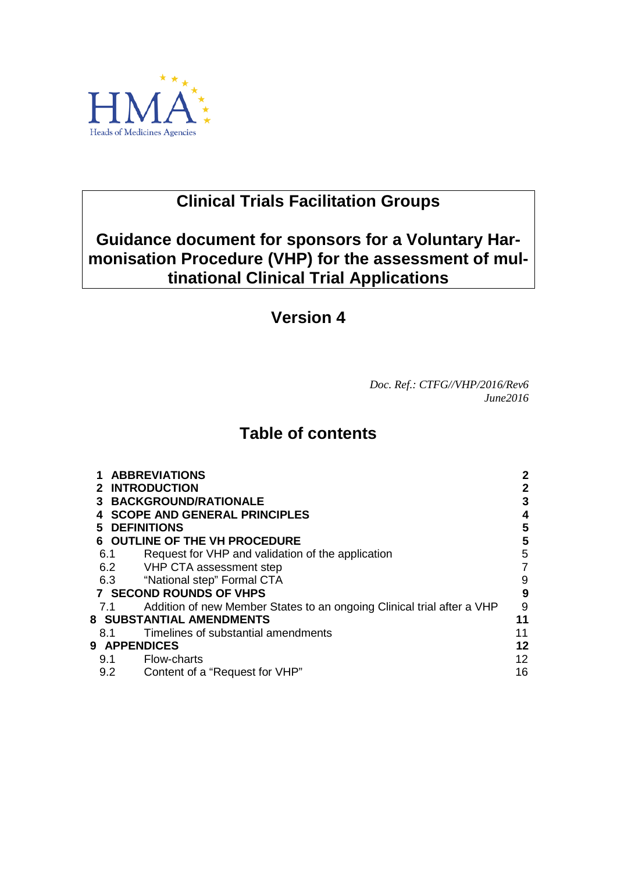

# **Clinical Trials Facilitation Groups**

# **Guidance document for sponsors for a Voluntary Harmonisation Procedure (VHP) for the assessment of multinational Clinical Trial Applications**

# **Version 4**

*Doc. Ref.: CTFG//VHP/2016/Rev6 June2016*

# **Table of contents**

| <b>ABBREVIATIONS</b>                                                   |                                                                                                                                                                                                                                                        |  |
|------------------------------------------------------------------------|--------------------------------------------------------------------------------------------------------------------------------------------------------------------------------------------------------------------------------------------------------|--|
| 2 INTRODUCTION                                                         |                                                                                                                                                                                                                                                        |  |
|                                                                        | 3                                                                                                                                                                                                                                                      |  |
| <b>SCOPE AND GENERAL PRINCIPLES</b>                                    |                                                                                                                                                                                                                                                        |  |
|                                                                        | 5                                                                                                                                                                                                                                                      |  |
|                                                                        | 5                                                                                                                                                                                                                                                      |  |
| Request for VHP and validation of the application                      | 5                                                                                                                                                                                                                                                      |  |
|                                                                        | 7                                                                                                                                                                                                                                                      |  |
|                                                                        | 9                                                                                                                                                                                                                                                      |  |
|                                                                        | 9                                                                                                                                                                                                                                                      |  |
| Addition of new Member States to an ongoing Clinical trial after a VHP | 9                                                                                                                                                                                                                                                      |  |
| 8   SUBSTANTIAL AMENDMENTS<br>11                                       |                                                                                                                                                                                                                                                        |  |
| Timelines of substantial amendments                                    | 11                                                                                                                                                                                                                                                     |  |
|                                                                        | 12                                                                                                                                                                                                                                                     |  |
| Flow-charts                                                            | 12                                                                                                                                                                                                                                                     |  |
| Content of a "Request for VHP"                                         | 16                                                                                                                                                                                                                                                     |  |
|                                                                        | <b>3 BACKGROUND/RATIONALE</b><br><b>DEFINITIONS</b><br><b>OUTLINE OF THE VH PROCEDURE</b><br>6.1<br>6.2 VHP CTA assessment step<br>6.3 "National step" Formal CTA<br><b>7 SECOND ROUNDS OF VHPS</b><br>7.1<br>8.1<br><b>9 APPENDICES</b><br>9.1<br>9.2 |  |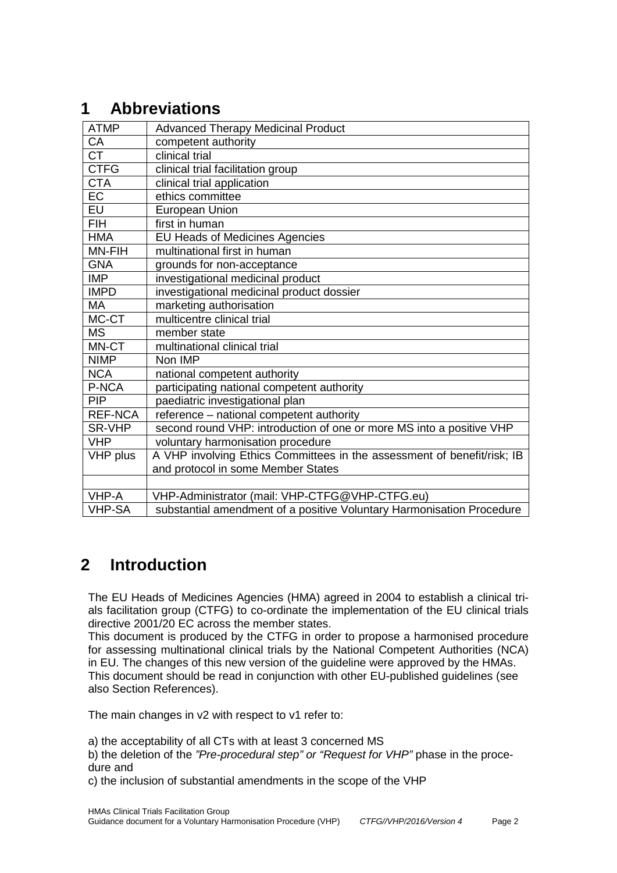# <span id="page-1-0"></span>**1 Abbreviations**

| <b>ATMP</b>            | <b>Advanced Therapy Medicinal Product</b>                               |
|------------------------|-------------------------------------------------------------------------|
| CA                     | competent authority                                                     |
| $\overline{\text{CT}}$ | clinical trial                                                          |
| <b>CTFG</b>            | clinical trial facilitation group                                       |
| <b>CTA</b>             | clinical trial application                                              |
| $E$ C                  | ethics committee                                                        |
| <b>EU</b>              | <b>European Union</b>                                                   |
| <b>FIH</b>             | first in human                                                          |
| <b>HMA</b>             | <b>EU Heads of Medicines Agencies</b>                                   |
| MN-FIH                 | multinational first in human                                            |
| <b>GNA</b>             | grounds for non-acceptance                                              |
| <b>IMP</b>             | investigational medicinal product                                       |
| <b>IMPD</b>            | investigational medicinal product dossier                               |
| <b>MA</b>              | marketing authorisation                                                 |
| MC-CT                  | multicentre clinical trial                                              |
| <b>MS</b>              | member state                                                            |
| MN-CT                  | multinational clinical trial                                            |
| <b>NIMP</b>            | Non IMP                                                                 |
| <b>NCA</b>             | national competent authority                                            |
| P-NCA                  | participating national competent authority                              |
| <b>PIP</b>             | paediatric investigational plan                                         |
| <b>REF-NCA</b>         | reference - national competent authority                                |
| SR-VHP                 | second round VHP: introduction of one or more MS into a positive VHP    |
| <b>VHP</b>             | voluntary harmonisation procedure                                       |
| VHP plus               | A VHP involving Ethics Committees in the assessment of benefit/risk; IB |
|                        | and protocol in some Member States                                      |
|                        |                                                                         |
| VHP-A                  | VHP-Administrator (mail: VHP-CTFG@VHP-CTFG.eu)                          |
| <b>VHP-SA</b>          | substantial amendment of a positive Voluntary Harmonisation Procedure   |

# <span id="page-1-1"></span>**2 Introduction**

The EU Heads of Medicines Agencies (HMA) agreed in 2004 to establish a clinical trials facilitation group (CTFG) to co-ordinate the implementation of the EU clinical trials directive 2001/20 EC across the member states.

This document is produced by the CTFG in order to propose a harmonised procedure for assessing multinational clinical trials by the National Competent Authorities (NCA) in EU. The changes of this new version of the guideline were approved by the HMAs. This document should be read in conjunction with other EU-published guidelines (see also Section References).

The main changes in v2 with respect to v1 refer to:

a) the acceptability of all CTs with at least 3 concerned MS

b) the deletion of the *"Pre-procedural step" or "Request for VHP"* phase in the procedure and

c) the inclusion of substantial amendments in the scope of the VHP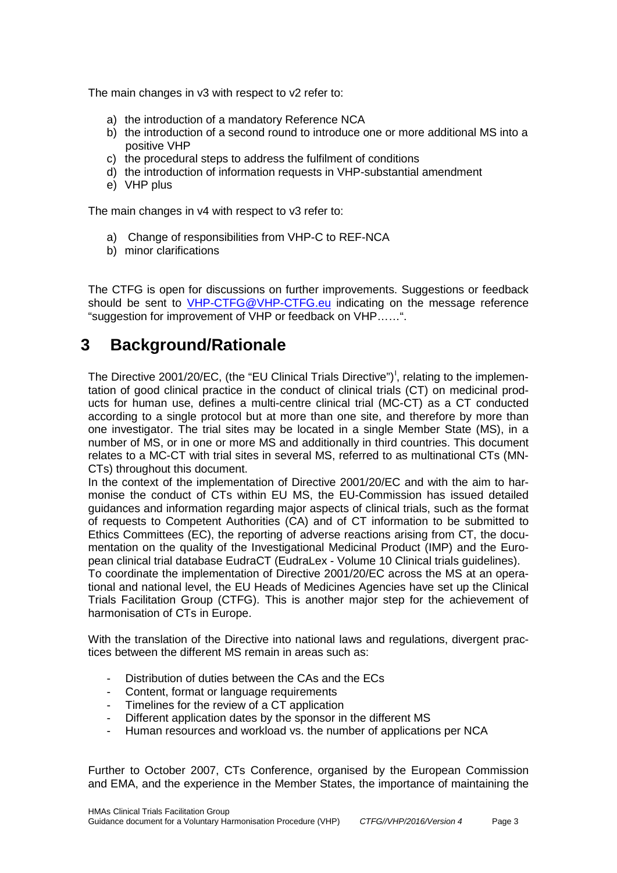The main changes in v3 with respect to v2 refer to:

- a) the introduction of a mandatory Reference NCA
- b) the introduction of a second round to introduce one or more additional MS into a positive VHP
- c) the procedural steps to address the fulfilment of conditions
- d) the introduction of information requests in VHP-substantial amendment
- e) VHP plus

The main changes in v4 with respect to v3 refer to:

- a) Change of responsibilities from VHP-C to REF-NCA
- b) minor clarifications

The CTFG is open for discussions on further improvements. Suggestions or feedback should be sent to [VHP-CTFG@VHP-CTFG.eu](mailto:VHP-CTFG@VHP-CTFG.eu) indicating on the message reference "suggestion for improvement of VHP or feedback on VHP……".

## <span id="page-2-0"></span>**3 Background/Rationale**

The Directive 2001/20/EC, (the "EU Clinical Trials Directive")<sup>1</sup>, relating to the implementation of good clinical practice in the conduct of clinical trials (CT) on medicinal products for human use, defines a multi-centre clinical trial (MC-CT) as a CT conducted according to a single protocol but at more than one site, and therefore by more than one investigator. The trial sites may be located in a single Member State (MS), in a number of MS, or in one or more MS and additionally in third countries. This document relates to a MC-CT with trial sites in several MS, referred to as multinational CTs (MN-CTs) throughout this document.

In the context of the implementation of Directive 2001/20/EC and with the aim to harmonise the conduct of CTs within EU MS, the EU-Commission has issued detailed guidances and information regarding major aspects of clinical trials, such as the format of requests to Competent Authorities (CA) and of CT information to be submitted to Ethics Committees (EC), the reporting of adverse reactions arising from CT, the documentation on the quality of the Investigational Medicinal Product (IMP) and the European clinical trial database EudraCT (EudraLex - Volume 10 Clinical trials guidelines).

To coordinate the implementation of Directive 2001/20/EC across the MS at an operational and national level, the EU Heads of Medicines Agencies have set up the Clinical Trials Facilitation Group (CTFG). This is another major step for the achievement of harmonisation of CTs in Europe.

With the translation of the Directive into national laws and regulations, divergent practices between the different MS remain in areas such as:

- Distribution of duties between the CAs and the FCs
- Content, format or language requirements
- Timelines for the review of a CT application
- Different application dates by the sponsor in the different MS
- Human resources and workload vs. the number of applications per NCA

Further to October 2007, CTs Conference, organised by the European Commission and EMA, and the experience in the Member States, the importance of maintaining the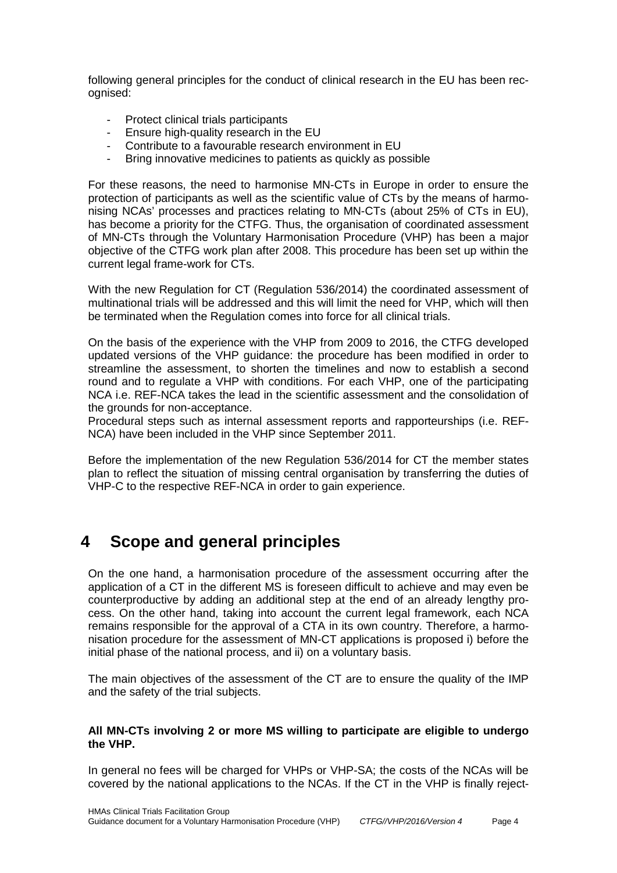following general principles for the conduct of clinical research in the EU has been recognised:

- Protect clinical trials participants
- Ensure high-quality research in the EU
- Contribute to a favourable research environment in EU
- Bring innovative medicines to patients as quickly as possible

For these reasons, the need to harmonise MN-CTs in Europe in order to ensure the protection of participants as well as the scientific value of CTs by the means of harmonising NCAs' processes and practices relating to MN-CTs (about 25% of CTs in EU), has become a priority for the CTFG. Thus, the organisation of coordinated assessment of MN-CTs through the Voluntary Harmonisation Procedure (VHP) has been a major objective of the CTFG work plan after 2008. This procedure has been set up within the current legal frame-work for CTs.

With the new Regulation for CT (Regulation 536/2014) the coordinated assessment of multinational trials will be addressed and this will limit the need for VHP, which will then be terminated when the Regulation comes into force for all clinical trials.

On the basis of the experience with the VHP from 2009 to 2016, the CTFG developed updated versions of the VHP guidance: the procedure has been modified in order to streamline the assessment, to shorten the timelines and now to establish a second round and to regulate a VHP with conditions. For each VHP, one of the participating NCA i.e. REF-NCA takes the lead in the scientific assessment and the consolidation of the grounds for non-acceptance.

Procedural steps such as internal assessment reports and rapporteurships (i.e. REF-NCA) have been included in the VHP since September 2011.

Before the implementation of the new Regulation 536/2014 for CT the member states plan to reflect the situation of missing central organisation by transferring the duties of VHP-C to the respective REF-NCA in order to gain experience.

# <span id="page-3-0"></span>**4 Scope and general principles**

On the one hand, a harmonisation procedure of the assessment occurring after the application of a CT in the different MS is foreseen difficult to achieve and may even be counterproductive by adding an additional step at the end of an already lengthy process. On the other hand, taking into account the current legal framework, each NCA remains responsible for the approval of a CTA in its own country. Therefore, a harmonisation procedure for the assessment of MN-CT applications is proposed i) before the initial phase of the national process, and ii) on a voluntary basis.

The main objectives of the assessment of the CT are to ensure the quality of the IMP and the safety of the trial subjects.

#### **All MN-CTs involving 2 or more MS willing to participate are eligible to undergo the VHP.**

<span id="page-3-1"></span>In general no fees will be charged for VHPs or VHP-SA; the costs of the NCAs will be covered by the national applications to the NCAs. If the CT in the VHP is finally reject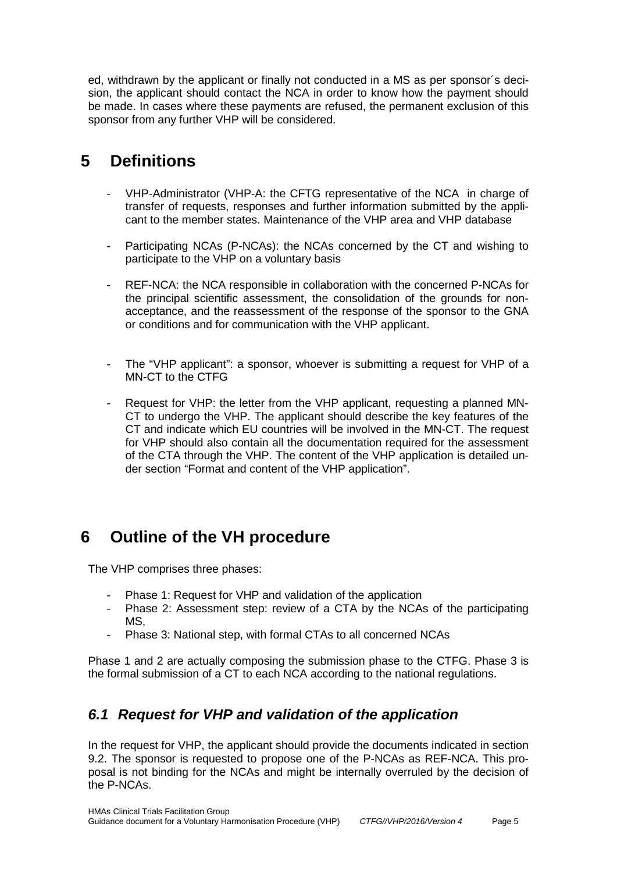ed, withdrawn by the applicant or finally not conducted in a MS as per sponsor´s decision, the applicant should contact the NCA in order to know how the payment should be made. In cases where these payments are refused, the permanent exclusion of this sponsor from any further VHP will be considered.

# <span id="page-4-0"></span>**5 Definitions**

- VHP-Administrator (VHP-A: the CFTG representative of the NCA in charge of transfer of requests, responses and further information submitted by the applicant to the member states. Maintenance of the VHP area and VHP database
- Participating NCAs (P-NCAs): the NCAs concerned by the CT and wishing to participate to the VHP on a voluntary basis
- REF-NCA: the NCA responsible in collaboration with the concerned P-NCAs for the principal scientific assessment, the consolidation of the grounds for nonacceptance, and the reassessment of the response of the sponsor to the GNA or conditions and for communication with the VHP applicant.
- The "VHP applicant": a sponsor, whoever is submitting a request for VHP of a MN-CT to the CTFG
- Request for VHP: the letter from the VHP applicant, requesting a planned MN-CT to undergo the VHP. The applicant should describe the key features of the CT and indicate which EU countries will be involved in the MN-CT. The request for VHP should also contain all the documentation required for the assessment of the CTA through the VHP. The content of the VHP application is detailed under section "Format and content of the VHP application".

## <span id="page-4-1"></span>**6 Outline of the VH procedure**

The VHP comprises three phases:

- Phase 1: Request for VHP and validation of the application
- Phase 2: Assessment step: review of a CTA by the NCAs of the participating MS,
- Phase 3: National step, with formal CTAs to all concerned NCAs

Phase 1 and 2 are actually composing the submission phase to the CTFG. Phase 3 is the formal submission of a CT to each NCA according to the national regulations.

## <span id="page-4-2"></span>*6.1 Request for VHP and validation of the application*

In the request for VHP, the applicant should provide the documents indicated in section [9.2.](#page-15-0) The sponsor is requested to propose one of the P-NCAs as REF-NCA. This proposal is not binding for the NCAs and might be internally overruled by the decision of the P-NCAs.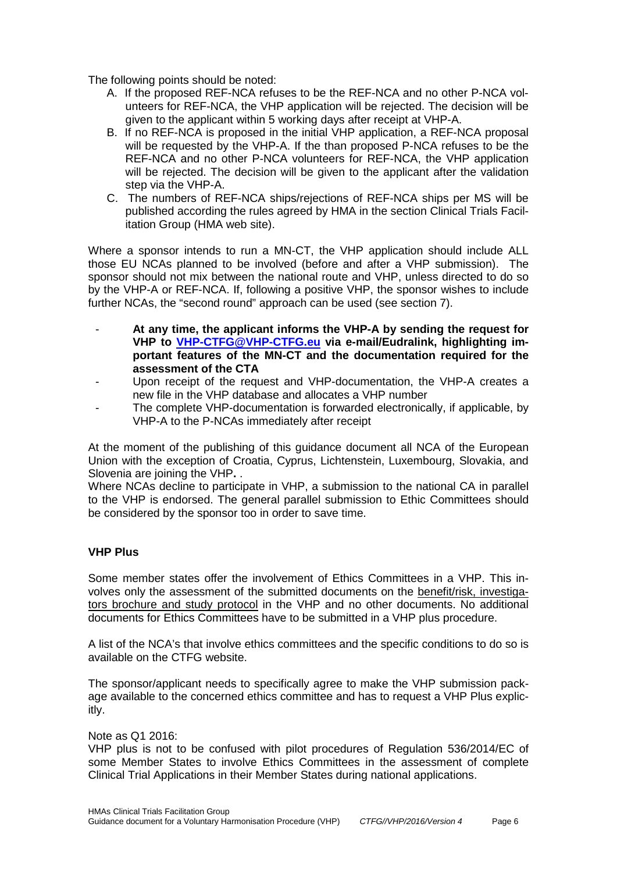The following points should be noted:

- A. If the proposed REF-NCA refuses to be the REF-NCA and no other P-NCA volunteers for REF-NCA, the VHP application will be rejected. The decision will be given to the applicant within 5 working days after receipt at VHP-A.
- B. If no REF-NCA is proposed in the initial VHP application, a REF-NCA proposal will be requested by the VHP-A. If the than proposed P-NCA refuses to be the REF-NCA and no other P-NCA volunteers for REF-NCA, the VHP application will be rejected. The decision will be given to the applicant after the validation step via the VHP-A.
- C. The numbers of REF-NCA ships/rejections of REF-NCA ships per MS will be published according the rules agreed by HMA in the section Clinical Trials Facilitation Group (HMA web site).

Where a sponsor intends to run a MN-CT, the VHP application should include ALL those EU NCAs planned to be involved (before and after a VHP submission). The sponsor should not mix between the national route and VHP, unless directed to do so by the VHP-A or REF-NCA. If, following a positive VHP, the sponsor wishes to include further NCAs, the "second round" approach can be used (see section 7).

- **At any time, the applicant informs the VHP-A by sending the request for VHP to [VHP-CTFG@VHP-CTFG.eu](mailto:VHP-CTFG@VHP-CTFG.eu) via e-mail/Eudralink, highlighting important features of the MN-CT and the documentation required for the assessment of the CTA**
- Upon receipt of the request and VHP-documentation, the VHP-A creates a new file in the VHP database and allocates a VHP number
- The complete VHP-documentation is forwarded electronically, if applicable, by VHP-A to the P-NCAs immediately after receipt

At the moment of the publishing of this guidance document all NCA of the European Union with the exception of Croatia, Cyprus, Lichtenstein, Luxembourg, Slovakia, and Slovenia are joining the VHP**.** .

Where NCAs decline to participate in VHP, a submission to the national CA in parallel to the VHP is endorsed. The general parallel submission to Ethic Committees should be considered by the sponsor too in order to save time.

#### **VHP Plus**

Some member states offer the involvement of Ethics Committees in a VHP. This involves only the assessment of the submitted documents on the benefit/risk, investigators brochure and study protocol in the VHP and no other documents. No additional documents for Ethics Committees have to be submitted in a VHP plus procedure.

A list of the NCA's that involve ethics committees and the specific conditions to do so is available on the CTFG website.

The sponsor/applicant needs to specifically agree to make the VHP submission package available to the concerned ethics committee and has to request a VHP Plus explicitly.

Note as Q1 2016:

VHP plus is not to be confused with pilot procedures of Regulation 536/2014/EC of some Member States to involve Ethics Committees in the assessment of complete Clinical Trial Applications in their Member States during national applications.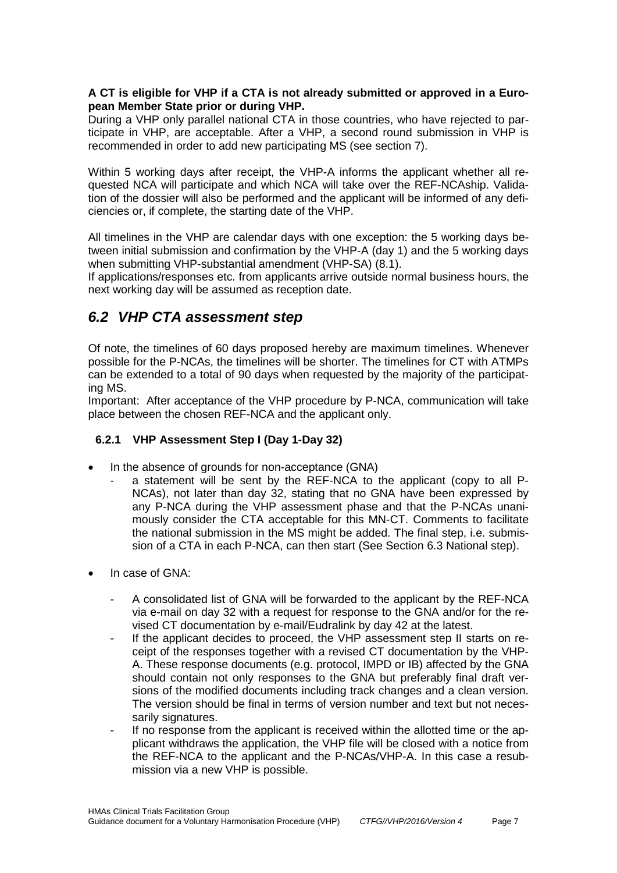#### **A CT is eligible for VHP if a CTA is not already submitted or approved in a European Member State prior or during VHP.**

During a VHP only parallel national CTA in those countries, who have rejected to participate in VHP, are acceptable. After a VHP, a second round submission in VHP is recommended in order to add new participating MS (see section [7\)](#page-8-1).

Within 5 working days after receipt, the VHP-A informs the applicant whether all requested NCA will participate and which NCA will take over the REF-NCAship. Validation of the dossier will also be performed and the applicant will be informed of any deficiencies or, if complete, the starting date of the VHP.

All timelines in the VHP are calendar days with one exception: the 5 working days between initial submission and confirmation by the VHP-A (day 1) and the 5 working days when submitting VHP-substantial amendment (VHP-SA) [\(8.1\)](#page-10-1).

If applications/responses etc. from applicants arrive outside normal business hours, the next working day will be assumed as reception date.

### <span id="page-6-0"></span>*6.2 VHP CTA assessment step*

Of note, the timelines of 60 days proposed hereby are maximum timelines. Whenever possible for the P-NCAs, the timelines will be shorter. The timelines for CT with ATMPs can be extended to a total of 90 days when requested by the majority of the participating MS.

Important: After acceptance of the VHP procedure by P-NCA, communication will take place between the chosen REF-NCA and the applicant only.

### **6.2.1 VHP Assessment Step I (Day 1-Day 32)**

- In the absence of grounds for non-acceptance (GNA)
	- a statement will be sent by the REF-NCA to the applicant (copy to all P-NCAs), not later than day 32, stating that no GNA have been expressed by any P-NCA during the VHP assessment phase and that the P-NCAs unanimously consider the CTA acceptable for this MN-CT. Comments to facilitate the national submission in the MS might be added. The final step, i.e. submission of a CTA in each P-NCA, can then start (See Section [6.3](#page-8-0) National step).
- In case of GNA:
	- A consolidated list of GNA will be forwarded to the applicant by the REF-NCA via e-mail on day 32 with a request for response to the GNA and/or for the revised CT documentation by e-mail/Eudralink by day 42 at the latest.
	- If the applicant decides to proceed, the VHP assessment step II starts on receipt of the responses together with a revised CT documentation by the VHP-A. These response documents (e.g. protocol, IMPD or IB) affected by the GNA should contain not only responses to the GNA but preferably final draft versions of the modified documents including track changes and a clean version. The version should be final in terms of version number and text but not necessarily signatures.
	- If no response from the applicant is received within the allotted time or the applicant withdraws the application, the VHP file will be closed with a notice from the REF-NCA to the applicant and the P-NCAs/VHP-A. In this case a resubmission via a new VHP is possible.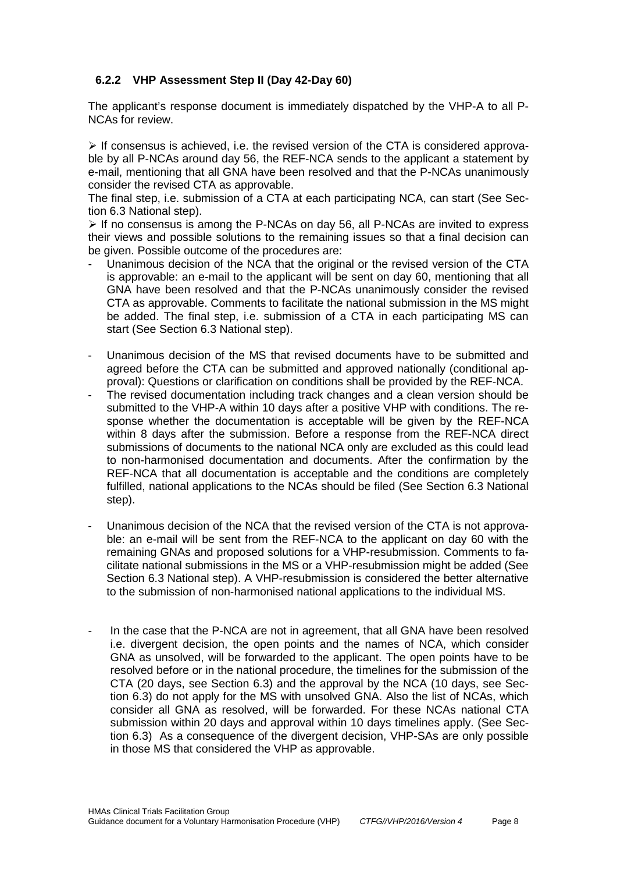### <span id="page-7-0"></span>**6.2.2 VHP Assessment Step II (Day 42-Day 60)**

The applicant's response document is immediately dispatched by the VHP-A to all P-NCAs for review.

 $\triangleright$  If consensus is achieved, i.e. the revised version of the CTA is considered approvable by all P-NCAs around day 56, the REF-NCA sends to the applicant a statement by e-mail, mentioning that all GNA have been resolved and that the P-NCAs unanimously consider the revised CTA as approvable.

The final step, i.e. submission of a CTA at each participating NCA, can start (See Section [6.3](#page-8-0) National step).

 $\triangleright$  If no consensus is among the P-NCAs on day 56, all P-NCAs are invited to express their views and possible solutions to the remaining issues so that a final decision can be given. Possible outcome of the procedures are:

- Unanimous decision of the NCA that the original or the revised version of the CTA is approvable: an e-mail to the applicant will be sent on day 60, mentioning that all GNA have been resolved and that the P-NCAs unanimously consider the revised CTA as approvable. Comments to facilitate the national submission in the MS might be added. The final step, i.e. submission of a CTA in each participating MS can start (See Section [6.3](#page-8-0) National step).
- Unanimous decision of the MS that revised documents have to be submitted and agreed before the CTA can be submitted and approved nationally (conditional approval): Questions or clarification on conditions shall be provided by the REF-NCA.
- The revised documentation including track changes and a clean version should be submitted to the VHP-A within 10 days after a positive VHP with conditions. The response whether the documentation is acceptable will be given by the REF-NCA within 8 days after the submission. Before a response from the REF-NCA direct submissions of documents to the national NCA only are excluded as this could lead to non-harmonised documentation and documents. After the confirmation by the REF-NCA that all documentation is acceptable and the conditions are completely fulfilled, national applications to the NCAs should be filed (See Section [6.3](#page-8-0) National step).
- Unanimous decision of the NCA that the revised version of the CTA is not approvable: an e-mail will be sent from the REF-NCA to the applicant on day 60 with the remaining GNAs and proposed solutions for a VHP-resubmission. Comments to facilitate national submissions in the MS or a VHP-resubmission might be added (See Section [6.3](#page-8-0) National step). A VHP-resubmission is considered the better alternative to the submission of non-harmonised national applications to the individual MS.
- In the case that the P-NCA are not in agreement, that all GNA have been resolved i.e. divergent decision, the open points and the names of NCA, which consider GNA as unsolved, will be forwarded to the applicant. The open points have to be resolved before or in the national procedure, the timelines for the submission of the CTA (20 days, see Section [6.3\)](#page-8-0) and the approval by the NCA (10 days, see Section [6.3\)](#page-8-0) do not apply for the MS with unsolved GNA. Also the list of NCAs, which consider all GNA as resolved, will be forwarded. For these NCAs national CTA submission within 20 days and approval within 10 days timelines apply. (See Section [6.3\)](#page-8-0) As a consequence of the divergent decision, VHP-SAs are only possible in those MS that considered the VHP as approvable.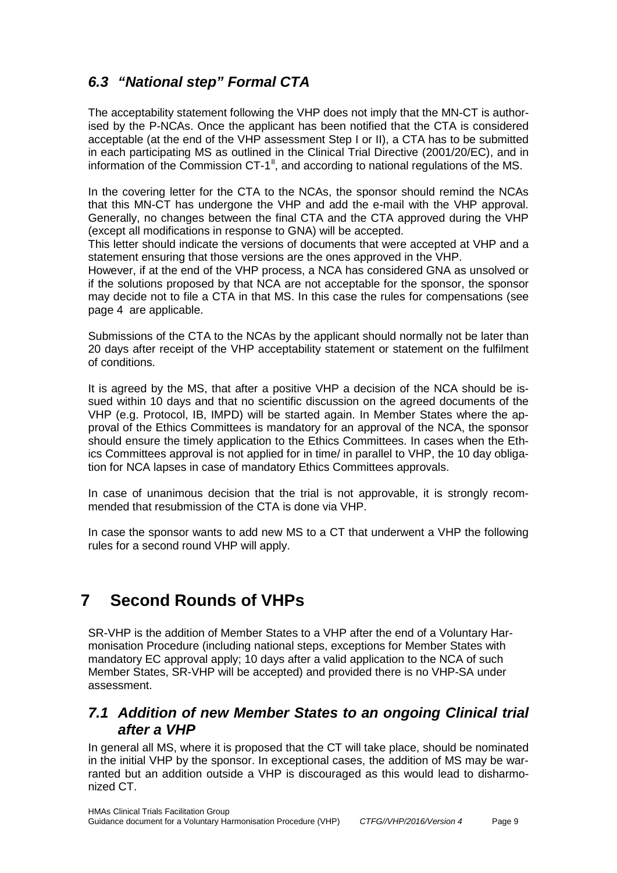## <span id="page-8-0"></span>*6.3 "National step" Formal CTA*

The acceptability statement following the VHP does not imply that the MN-CT is authorised by the P-NCAs. Once the applicant has been notified that the CTA is considered acceptable (at the end of the VHP assessment Step I or II), a CTA has to be submitted in each participating MS as outlined in the Clinical Trial Directive (2001/20/EC), and in information of the Commission CT-1<sup> $II$ </sup>, and according to national regulations of the MS.

<span id="page-8-3"></span>In the covering letter for the CTA to the NCAs, the sponsor should remind the NCAs that this MN-CT has undergone the VHP and add the e-mail with the VHP approval. Generally, no changes between the final CTA and the CTA approved during the VHP (except all modifications in response to GNA) will be accepted.

This letter should indicate the versions of documents that were accepted at VHP and a statement ensuring that those versions are the ones approved in the VHP.

However, if at the end of the VHP process, a NCA has considered GNA as unsolved or if the solutions proposed by that NCA are not acceptable for the sponsor, the sponsor may decide not to file a CTA in that MS. In this case the rules for compensations (see page [4](#page-3-1) are applicable.

Submissions of the CTA to the NCAs by the applicant should normally not be later than 20 days after receipt of the VHP acceptability statement or statement on the fulfilment of conditions.

It is agreed by the MS, that after a positive VHP a decision of the NCA should be issued within 10 days and that no scientific discussion on the agreed documents of the VHP (e.g. Protocol, IB, IMPD) will be started again. In Member States where the approval of the Ethics Committees is mandatory for an approval of the NCA, the sponsor should ensure the timely application to the Ethics Committees. In cases when the Ethics Committees approval is not applied for in time/ in parallel to VHP, the 10 day obligation for NCA lapses in case of mandatory Ethics Committees approvals.

In case of unanimous decision that the trial is not approvable, it is strongly recommended that resubmission of the CTA is done via VHP.

In case the sponsor wants to add new MS to a CT that underwent a VHP the following rules for a second round VHP will apply.

# <span id="page-8-1"></span>**7 Second Rounds of VHPs**

SR-VHP is the addition of Member States to a VHP after the end of a Voluntary Harmonisation Procedure (including national steps, exceptions for Member States with mandatory EC approval apply; 10 days after a valid application to the NCA of such Member States, SR-VHP will be accepted) and provided there is no VHP-SA under assessment.

### <span id="page-8-2"></span>*7.1 Addition of new Member States to an ongoing Clinical trial after a VHP*

In general all MS, where it is proposed that the CT will take place, should be nominated in the initial VHP by the sponsor. In exceptional cases, the addition of MS may be warranted but an addition outside a VHP is discouraged as this would lead to disharmonized CT.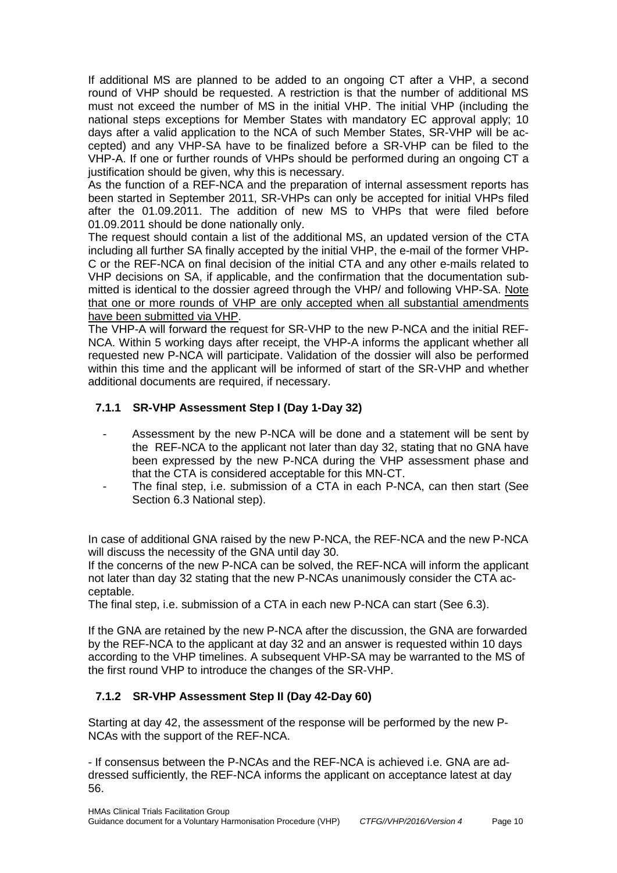If additional MS are planned to be added to an ongoing CT after a VHP, a second round of VHP should be requested. A restriction is that the number of additional MS must not exceed the number of MS in the initial VHP. The initial VHP (including the national steps exceptions for Member States with mandatory EC approval apply; 10 days after a valid application to the NCA of such Member States, SR-VHP will be accepted) and any VHP-SA have to be finalized before a SR-VHP can be filed to the VHP-A. If one or further rounds of VHPs should be performed during an ongoing CT a justification should be given, why this is necessary.

As the function of a REF-NCA and the preparation of internal assessment reports has been started in September 2011, SR-VHPs can only be accepted for initial VHPs filed after the 01.09.2011. The addition of new MS to VHPs that were filed before 01.09.2011 should be done nationally only.

The request should contain a list of the additional MS, an updated version of the CTA including all further SA finally accepted by the initial VHP, the e-mail of the former VHP-C or the REF-NCA on final decision of the initial CTA and any other e-mails related to VHP decisions on SA, if applicable, and the confirmation that the documentation submitted is identical to the dossier agreed through the VHP/ and following VHP-SA. Note that one or more rounds of VHP are only accepted when all substantial amendments have been submitted via VHP.

The VHP-A will forward the request for SR-VHP to the new P-NCA and the initial REF-NCA. Within 5 working days after receipt, the VHP-A informs the applicant whether all requested new P-NCA will participate. Validation of the dossier will also be performed within this time and the applicant will be informed of start of the SR-VHP and whether additional documents are required, if necessary.

### **7.1.1 SR-VHP Assessment Step I (Day 1-Day 32)**

- Assessment by the new P-NCA will be done and a statement will be sent by the REF-NCA to the applicant not later than day 32, stating that no GNA have been expressed by the new P-NCA during the VHP assessment phase and that the CTA is considered acceptable for this MN-CT.
- The final step, i.e. submission of a CTA in each P-NCA, can then start (See Section [6.3](#page-8-0) National step).

In case of additional GNA raised by the new P-NCA, the REF-NCA and the new P-NCA will discuss the necessity of the GNA until day 30.

If the concerns of the new P-NCA can be solved, the REF-NCA will inform the applicant not later than day 32 stating that the new P-NCAs unanimously consider the CTA acceptable.

The final step, i.e. submission of a CTA in each new P-NCA can start (See [6.3\)](#page-8-0).

If the GNA are retained by the new P-NCA after the discussion, the GNA are forwarded by the REF-NCA to the applicant at day 32 and an answer is requested within 10 days according to the VHP timelines. A subsequent VHP-SA may be warranted to the MS of the first round VHP to introduce the changes of the SR-VHP.

### **7.1.2 SR-VHP Assessment Step II (Day 42-Day 60)**

Starting at day 42, the assessment of the response will be performed by the new P-NCAs with the support of the REF-NCA.

- If consensus between the P-NCAs and the REF-NCA is achieved i.e. GNA are addressed sufficiently, the REF-NCA informs the applicant on acceptance latest at day 56.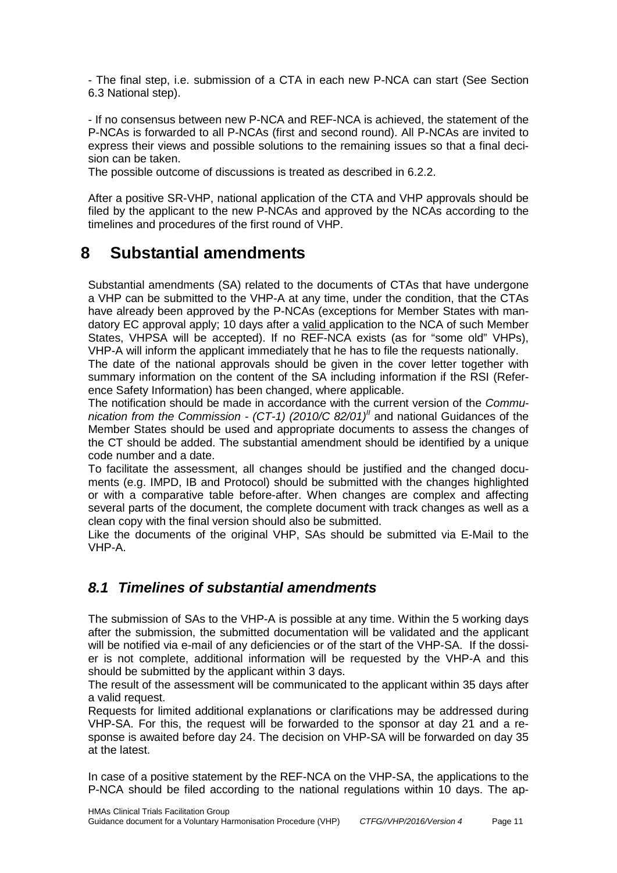- The final step, i.e. submission of a CTA in each new P-NCA can start (See Section [6.3](#page-8-0) National step).

- If no consensus between new P-NCA and REF-NCA is achieved, the statement of the P-NCAs is forwarded to all P-NCAs (first and second round). All P-NCAs are invited to express their views and possible solutions to the remaining issues so that a final decision can be taken.

The possible outcome of discussions is treated as described in [6.2.2.](#page-7-0)

After a positive SR-VHP, national application of the CTA and VHP approvals should be filed by the applicant to the new P-NCAs and approved by the NCAs according to the timelines and procedures of the first round of VHP.

# <span id="page-10-0"></span>**8 Substantial amendments**

Substantial amendments (SA) related to the documents of CTAs that have undergone a VHP can be submitted to the VHP-A at any time, under the condition, that the CTAs have already been approved by the P-NCAs (exceptions for Member States with mandatory EC approval apply; 10 days after a valid application to the NCA of such Member States, VHPSA will be accepted). If no REF-NCA exists (as for "some old" VHPs), VHP-A will inform the applicant immediately that he has to file the requests nationally.

The date of the national approvals should be given in the cover letter together with summary information on the content of the SA including information if the RSI (Reference Safety Information) has been changed, where applicable.

The notification should be made in accordance with the current version of the *Communication from the Commission - (CT-1) (2010/C 82/01[\)](#page-8-3)II* and national Guidances of the Member States should be used and appropriate documents to assess the changes of the CT should be added. The substantial amendment should be identified by a unique code number and a date.

To facilitate the assessment, all changes should be justified and the changed documents (e.g. IMPD, IB and Protocol) should be submitted with the changes highlighted or with a comparative table before-after. When changes are complex and affecting several parts of the document, the complete document with track changes as well as a clean copy with the final version should also be submitted.

Like the documents of the original VHP, SAs should be submitted via E-Mail to the VHP-A.

### <span id="page-10-1"></span>*8.1 Timelines of substantial amendments*

The submission of SAs to the VHP-A is possible at any time. Within the 5 working days after the submission, the submitted documentation will be validated and the applicant will be notified via e-mail of any deficiencies or of the start of the VHP-SA. If the dossier is not complete, additional information will be requested by the VHP-A and this should be submitted by the applicant within 3 days.

The result of the assessment will be communicated to the applicant within 35 days after a valid request.

Requests for limited additional explanations or clarifications may be addressed during VHP-SA. For this, the request will be forwarded to the sponsor at day 21 and a response is awaited before day 24. The decision on VHP-SA will be forwarded on day 35 at the latest.

In case of a positive statement by the REF-NCA on the VHP-SA, the applications to the P-NCA should be filed according to the national regulations within 10 days. The ap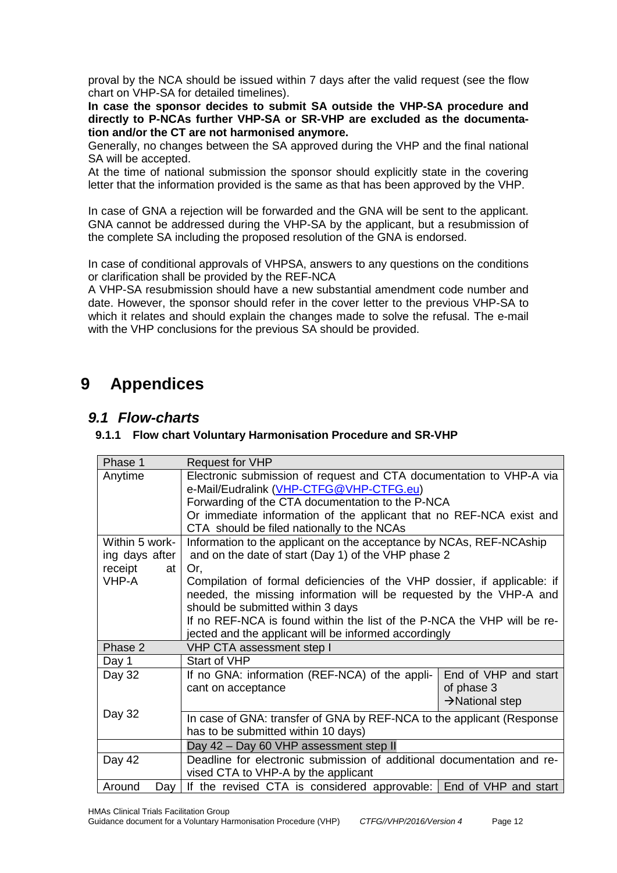proval by the NCA should be issued within 7 days after the valid request (see the flow chart on VHP-SA for detailed timelines).

**In case the sponsor decides to submit SA outside the VHP-SA procedure and directly to P-NCAs further VHP-SA or SR-VHP are excluded as the documentation and/or the CT are not harmonised anymore.**

Generally, no changes between the SA approved during the VHP and the final national SA will be accepted.

At the time of national submission the sponsor should explicitly state in the covering letter that the information provided is the same as that has been approved by the VHP.

In case of GNA a rejection will be forwarded and the GNA will be sent to the applicant. GNA cannot be addressed during the VHP-SA by the applicant, but a resubmission of the complete SA including the proposed resolution of the GNA is endorsed.

In case of conditional approvals of VHPSA, answers to any questions on the conditions or clarification shall be provided by the REF-NCA

A VHP-SA resubmission should have a new substantial amendment code number and date. However, the sponsor should refer in the cover letter to the previous VHP-SA to which it relates and should explain the changes made to solve the refusal. The e-mail with the VHP conclusions for the previous SA should be provided.

# <span id="page-11-0"></span>**9 Appendices**

### <span id="page-11-1"></span>*9.1 Flow-charts*

### **9.1.1 Flow chart Voluntary Harmonisation Procedure and SR-VHP**

| Phase 1        | <b>Request for VHP</b>                                                   |                             |  |
|----------------|--------------------------------------------------------------------------|-----------------------------|--|
| Anytime        | Electronic submission of request and CTA documentation to VHP-A via      |                             |  |
|                | e-Mail/Eudralink (VHP-CTFG@VHP-CTFG.eu)                                  |                             |  |
|                | Forwarding of the CTA documentation to the P-NCA                         |                             |  |
|                | Or immediate information of the applicant that no REF-NCA exist and      |                             |  |
|                | CTA should be filed nationally to the NCAs                               |                             |  |
| Within 5 work- | Information to the applicant on the acceptance by NCAs, REF-NCAship      |                             |  |
| ing days after | and on the date of start (Day 1) of the VHP phase 2                      |                             |  |
| receipt<br>at  | Or.                                                                      |                             |  |
| VHP-A          | Compilation of formal deficiencies of the VHP dossier, if applicable: if |                             |  |
|                | needed, the missing information will be requested by the VHP-A and       |                             |  |
|                | should be submitted within 3 days                                        |                             |  |
|                | If no REF-NCA is found within the list of the P-NCA the VHP will be re-  |                             |  |
|                | jected and the applicant will be informed accordingly                    |                             |  |
| Phase 2        | VHP CTA assessment step I                                                |                             |  |
| Day 1          | Start of VHP                                                             |                             |  |
| Day 32         | If no GNA: information (REF-NCA) of the appli-                           | End of VHP and start        |  |
|                | cant on acceptance                                                       | of phase 3                  |  |
|                |                                                                          | $\rightarrow$ National step |  |
| Day 32         | In case of GNA: transfer of GNA by REF-NCA to the applicant (Response    |                             |  |
|                | has to be submitted within 10 days)                                      |                             |  |
|                | Day 42 - Day 60 VHP assessment step II                                   |                             |  |
| Day 42         | Deadline for electronic submission of additional documentation and re-   |                             |  |
|                | vised CTA to VHP-A by the applicant                                      |                             |  |
| Around<br>Day  | If the revised CTA is considered approvable: End of VHP and start        |                             |  |

HMAs Clinical Trials Facilitation Group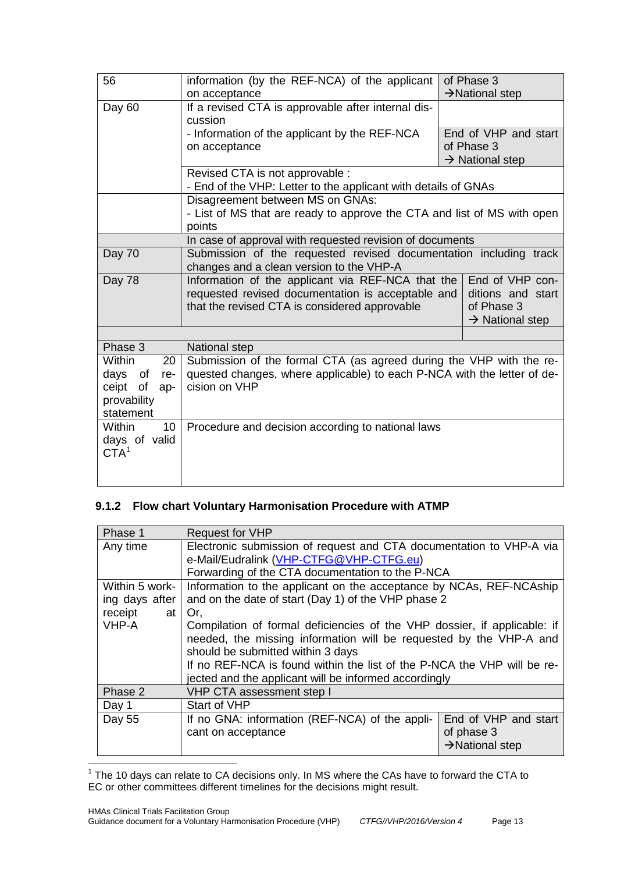| 56                                                                                      | information (by the REF-NCA) of the applicant<br>on acceptance                                                                                                                                                                               | of Phase 3<br>$\rightarrow$ National step                         |  |
|-----------------------------------------------------------------------------------------|----------------------------------------------------------------------------------------------------------------------------------------------------------------------------------------------------------------------------------------------|-------------------------------------------------------------------|--|
| Day 60                                                                                  | If a revised CTA is approvable after internal dis-<br>cussion                                                                                                                                                                                |                                                                   |  |
|                                                                                         | - Information of the applicant by the REF-NCA<br>on acceptance                                                                                                                                                                               | End of VHP and start<br>of Phase 3<br>$\rightarrow$ National step |  |
|                                                                                         | Revised CTA is not approvable :<br>- End of the VHP: Letter to the applicant with details of GNAs                                                                                                                                            |                                                                   |  |
|                                                                                         | Disagreement between MS on GNAs:<br>- List of MS that are ready to approve the CTA and list of MS with open<br>points                                                                                                                        |                                                                   |  |
|                                                                                         | In case of approval with requested revision of documents                                                                                                                                                                                     |                                                                   |  |
| Day 70                                                                                  | Submission of the requested revised documentation including track<br>changes and a clean version to the VHP-A                                                                                                                                |                                                                   |  |
| Day 78                                                                                  | Information of the applicant via REF-NCA that the<br>End of VHP con-<br>requested revised documentation is acceptable and<br>ditions and start<br>that the revised CTA is considered approvable<br>of Phase 3<br>$\rightarrow$ National step |                                                                   |  |
|                                                                                         |                                                                                                                                                                                                                                              |                                                                   |  |
| Phase 3                                                                                 | National step                                                                                                                                                                                                                                |                                                                   |  |
| <b>Within</b><br>20<br>days<br>of<br>re-<br>ceipt of<br>ap-<br>provability<br>statement | Submission of the formal CTA (as agreed during the VHP with the re-<br>quested changes, where applicable) to each P-NCA with the letter of de-<br>cision on VHP                                                                              |                                                                   |  |
| <b>Within</b><br>10 <sup>1</sup><br>days of valid<br>$\mathsf{CTA}^1$                   | Procedure and decision according to national laws                                                                                                                                                                                            |                                                                   |  |

### **9.1.2 Flow chart Voluntary Harmonisation Procedure with ATMP**

| Phase 1        | <b>Request for VHP</b>                                                   |                             |  |
|----------------|--------------------------------------------------------------------------|-----------------------------|--|
| Any time       | Electronic submission of request and CTA documentation to VHP-A via      |                             |  |
|                | e-Mail/Eudralink (VHP-CTFG@VHP-CTFG.eu)                                  |                             |  |
|                | Forwarding of the CTA documentation to the P-NCA                         |                             |  |
| Within 5 work- | Information to the applicant on the acceptance by NCAs, REF-NCAship      |                             |  |
| ing days after | and on the date of start (Day 1) of the VHP phase 2                      |                             |  |
| receipt<br>at  | Or.                                                                      |                             |  |
| VHP-A          | Compilation of formal deficiencies of the VHP dossier, if applicable: if |                             |  |
|                | needed, the missing information will be requested by the VHP-A and       |                             |  |
|                | should be submitted within 3 days                                        |                             |  |
|                | If no REF-NCA is found within the list of the P-NCA the VHP will be re-  |                             |  |
|                | jected and the applicant will be informed accordingly                    |                             |  |
| Phase 2        | VHP CTA assessment step I                                                |                             |  |
| Day 1          | Start of VHP                                                             |                             |  |
| Day 55         | If no GNA: information (REF-NCA) of the appli-                           | End of VHP and start        |  |
|                | cant on acceptance                                                       | of phase 3                  |  |
|                |                                                                          | $\rightarrow$ National step |  |

<span id="page-12-0"></span> $\frac{1}{1}$  The 10 days can relate to CA decisions only. In MS where the CAs have to forward the CTA to EC or other committees different timelines for the decisions might result.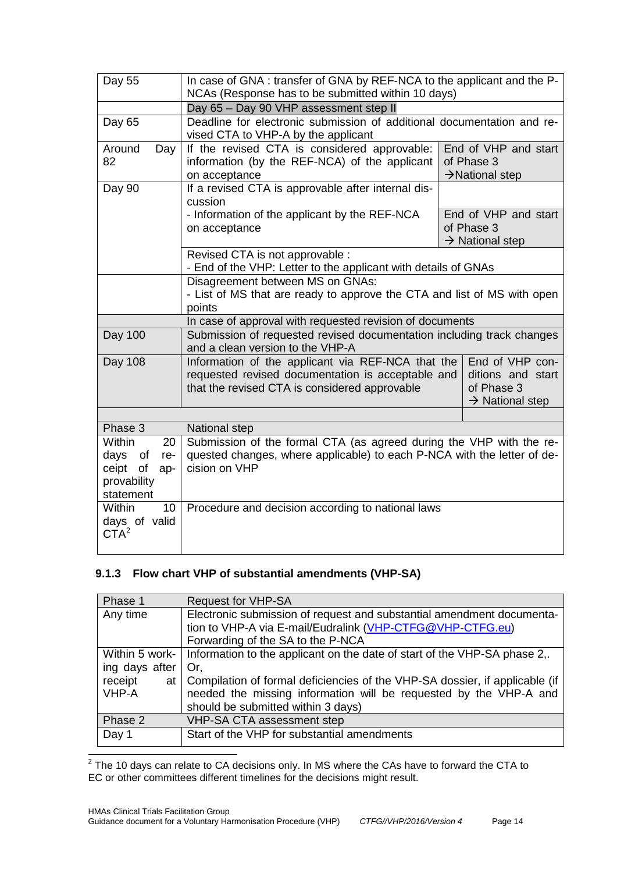| Day 55                                                                                     | In case of GNA: transfer of GNA by REF-NCA to the applicant and the P-<br>NCAs (Response has to be submitted within 10 days)                                                                                                                 |                                                                   |  |
|--------------------------------------------------------------------------------------------|----------------------------------------------------------------------------------------------------------------------------------------------------------------------------------------------------------------------------------------------|-------------------------------------------------------------------|--|
|                                                                                            | Day 65 - Day 90 VHP assessment step II                                                                                                                                                                                                       |                                                                   |  |
| Day 65                                                                                     | Deadline for electronic submission of additional documentation and re-<br>vised CTA to VHP-A by the applicant                                                                                                                                |                                                                   |  |
| Around<br>Day<br>82                                                                        | If the revised CTA is considered approvable:<br>information (by the REF-NCA) of the applicant<br>on acceptance                                                                                                                               | End of VHP and start<br>of Phase 3<br>$\rightarrow$ National step |  |
| Day 90                                                                                     | If a revised CTA is approvable after internal dis-<br>cussion                                                                                                                                                                                |                                                                   |  |
|                                                                                            | - Information of the applicant by the REF-NCA<br>on acceptance                                                                                                                                                                               | End of VHP and start<br>of Phase 3<br>$\rightarrow$ National step |  |
|                                                                                            | Revised CTA is not approvable :<br>- End of the VHP: Letter to the applicant with details of GNAs                                                                                                                                            |                                                                   |  |
|                                                                                            | Disagreement between MS on GNAs:<br>- List of MS that are ready to approve the CTA and list of MS with open<br>points                                                                                                                        |                                                                   |  |
| In case of approval with requested revision of documents                                   |                                                                                                                                                                                                                                              |                                                                   |  |
| <b>Day 100</b>                                                                             | Submission of requested revised documentation including track changes<br>and a clean version to the VHP-A                                                                                                                                    |                                                                   |  |
| Day 108                                                                                    | End of VHP con-<br>Information of the applicant via REF-NCA that the<br>requested revised documentation is acceptable and<br>ditions and start<br>that the revised CTA is considered approvable<br>of Phase 3<br>$\rightarrow$ National step |                                                                   |  |
|                                                                                            |                                                                                                                                                                                                                                              |                                                                   |  |
| Phase 3                                                                                    | National step                                                                                                                                                                                                                                |                                                                   |  |
| <b>Within</b><br>20<br>days<br>of<br>re-<br>of<br>ceipt<br>ap-<br>provability<br>statement | Submission of the formal CTA (as agreed during the VHP with the re-<br>quested changes, where applicable) to each P-NCA with the letter of de-<br>cision on VHP                                                                              |                                                                   |  |
| <b>Within</b><br>10 <sup>1</sup><br>days of valid<br>CTA <sup>2</sup>                      | Procedure and decision according to national laws                                                                                                                                                                                            |                                                                   |  |

### **9.1.3 Flow chart VHP of substantial amendments (VHP-SA)**

| Phase 1        | <b>Request for VHP-SA</b>                                                   |  |
|----------------|-----------------------------------------------------------------------------|--|
| Any time       | Electronic submission of request and substantial amendment documenta-       |  |
|                | tion to VHP-A via E-mail/Eudralink (VHP-CTFG@VHP-CTFG.eu)                   |  |
|                | Forwarding of the SA to the P-NCA                                           |  |
| Within 5 work- | Information to the applicant on the date of start of the VHP-SA phase 2,.   |  |
| ing days after | Or.                                                                         |  |
| receipt<br>at  | Compilation of formal deficiencies of the VHP-SA dossier, if applicable (if |  |
| VHP-A          | needed the missing information will be requested by the VHP-A and           |  |
|                | should be submitted within 3 days)                                          |  |
| Phase 2        | VHP-SA CTA assessment step                                                  |  |
| Day 1          | Start of the VHP for substantial amendments                                 |  |
|                |                                                                             |  |

<span id="page-13-0"></span> $\frac{1}{2}$  The 10 days can relate to CA decisions only. In MS where the CAs have to forward the CTA to EC or other committees different timelines for the decisions might result.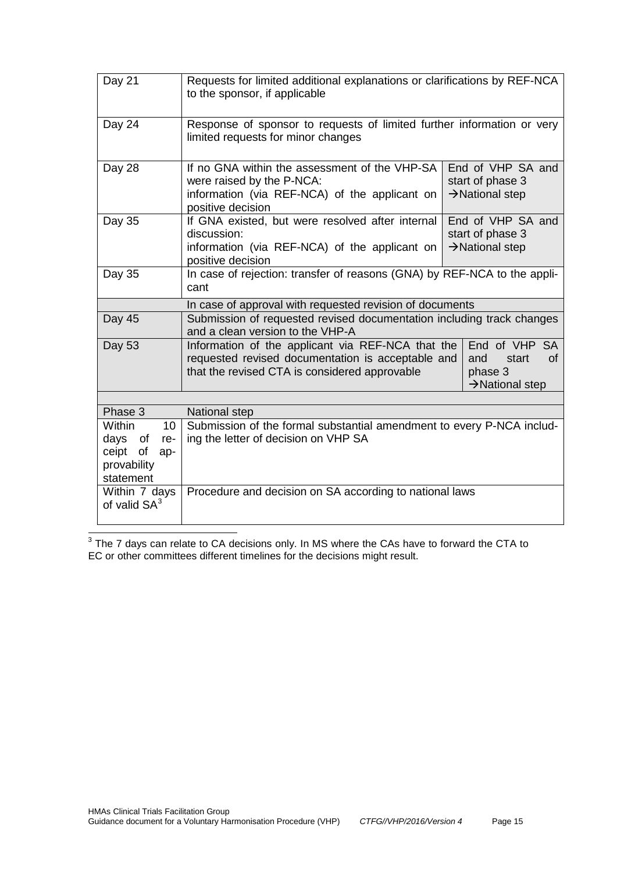| Day 21                                         | Requests for limited additional explanations or clarifications by REF-NCA<br>to the sponsor, if applicable                                                                                                                               |                                                                      |  |
|------------------------------------------------|------------------------------------------------------------------------------------------------------------------------------------------------------------------------------------------------------------------------------------------|----------------------------------------------------------------------|--|
| Day 24                                         | Response of sponsor to requests of limited further information or very<br>limited requests for minor changes                                                                                                                             |                                                                      |  |
| Day 28                                         | If no GNA within the assessment of the VHP-SA<br>were raised by the P-NCA:<br>information (via REF-NCA) of the applicant on<br>positive decision                                                                                         | End of VHP SA and<br>start of phase 3<br>$\rightarrow$ National step |  |
| Day $3\overline{5}$                            | If GNA existed, but were resolved after internal<br>discussion:<br>information (via REF-NCA) of the applicant on<br>positive decision                                                                                                    | End of VHP SA and<br>start of phase 3<br>$\rightarrow$ National step |  |
| Day 35                                         | In case of rejection: transfer of reasons (GNA) by REF-NCA to the appli-<br>cant                                                                                                                                                         |                                                                      |  |
|                                                | In case of approval with requested revision of documents                                                                                                                                                                                 |                                                                      |  |
| Day 45                                         | Submission of requested revised documentation including track changes<br>and a clean version to the VHP-A                                                                                                                                |                                                                      |  |
| Day 53                                         | End of VHP SA<br>Information of the applicant via REF-NCA that the<br>requested revised documentation is acceptable and<br>start<br>of<br>and<br>that the revised CTA is considered approvable<br>phase 3<br>$\rightarrow$ National step |                                                                      |  |
| Phase 3                                        | <b>National step</b>                                                                                                                                                                                                                     |                                                                      |  |
| <b>Within</b><br>10                            |                                                                                                                                                                                                                                          |                                                                      |  |
| of<br>days<br>re-                              | Submission of the formal substantial amendment to every P-NCA includ-<br>ing the letter of decision on VHP SA                                                                                                                            |                                                                      |  |
| of<br>ceipt<br>ap-<br>provability<br>statement |                                                                                                                                                                                                                                          |                                                                      |  |
| Within 7 days<br>of valid $SA^3$               | Procedure and decision on SA according to national laws                                                                                                                                                                                  |                                                                      |  |

<span id="page-14-0"></span> $\frac{3}{3}$  The 7 days can relate to CA decisions only. In MS where the CAs have to forward the CTA to EC or other committees different timelines for the decisions might result.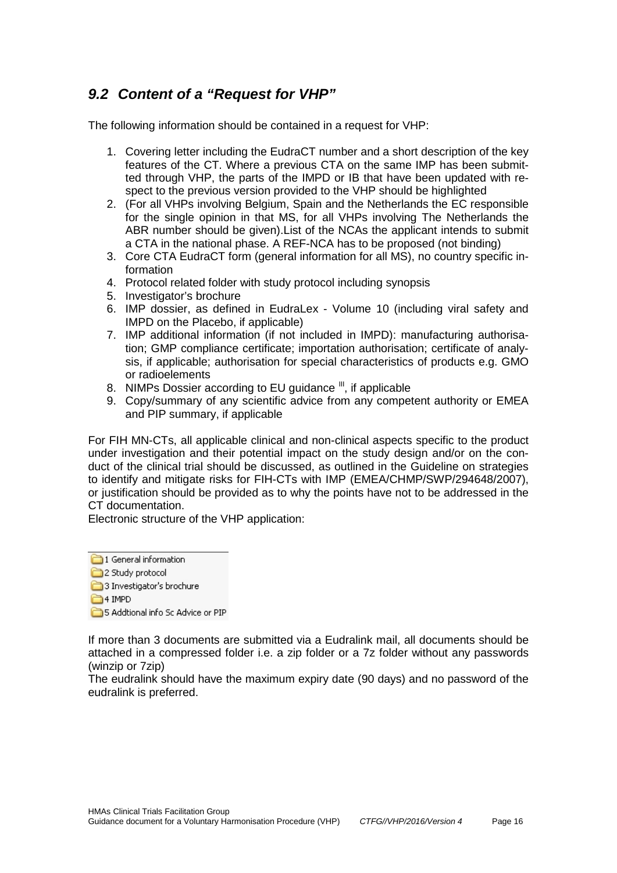## <span id="page-15-0"></span>*9.2 Content of a "Request for VHP"*

The following information should be contained in a request for VHP:

- 1. Covering letter including the EudraCT number and a short description of the key features of the CT. Where a previous CTA on the same IMP has been submitted through VHP, the parts of the IMPD or IB that have been updated with respect to the previous version provided to the VHP should be highlighted
- 2. (For all VHPs involving Belgium, Spain and the Netherlands the EC responsible for the single opinion in that MS, for all VHPs involving The Netherlands the ABR number should be given).List of the NCAs the applicant intends to submit a CTA in the national phase. A REF-NCA has to be proposed (not binding)
- 3. Core CTA EudraCT form (general information for all MS), no country specific information
- 4. Protocol related folder with study protocol including synopsis
- 5. Investigator's brochure
- 6. IMP dossier, as defined in EudraLex Volume 10 (including viral safety and IMPD on the Placebo, if applicable)
- 7. IMP additional information (if not included in IMPD): manufacturing authorisation; GMP compliance certificate; importation authorisation; certificate of analysis, if applicable; authorisation for special characteristics of products e.g. GMO or radioelements
- 8. NIMPs Dossier according to EU guidance <sup>[III](#page-16-2)</sup>, if applicable
- 9. Copy/summary of any scientific advice from any competent authority or EMEA and PIP summary, if applicable

For FIH MN-CTs, all applicable clinical and non-clinical aspects specific to the product under investigation and their potential impact on the study design and/or on the conduct of the clinical trial should be discussed, as outlined in the Guideline on strategies to identify and mitigate risks for FIH-CTs with IMP (EMEA/CHMP/SWP/294648/2007), or justification should be provided as to why the points have not to be addressed in the CT documentation.

Electronic structure of the VHP application:

1 General information

- 2 Study protocol
- 3 Investigator's brochure
- <sup>4</sup> IMPD

5 Addtional info Sc Advice or PIP

If more than 3 documents are submitted via a Eudralink mail, all documents should be attached in a compressed folder i.e. a zip folder or a 7z folder without any passwords (winzip or 7zip)

The eudralink should have the maximum expiry date (90 days) and no password of the eudralink is preferred.